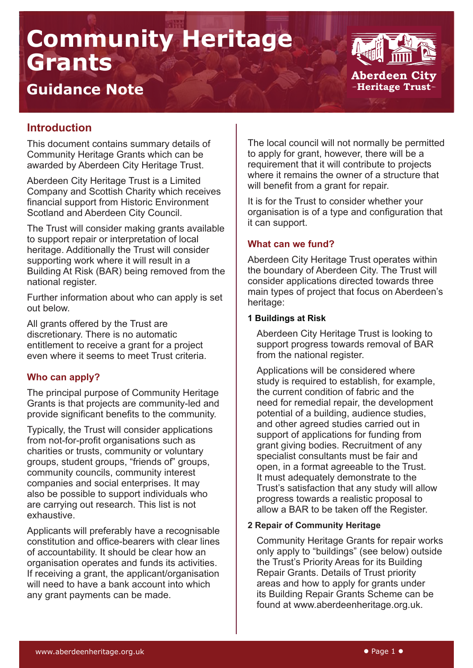# **Community Heritage Grants**



## **Guidance Note**

### **Introduction**

This document contains summary details of Community Heritage Grants which can be awarded by Aberdeen City Heritage Trust.

Aberdeen City Heritage Trust is a Limited Company and Scottish Charity which receives financial support from Historic Environment Scotland and Aberdeen City Council.

The Trust will consider making grants available to support repair or interpretation of local heritage. Additionally the Trust will consider supporting work where it will result in a Building At Risk (BAR) being removed from the national register.

Further information about who can apply is set out below.

All grants offered by the Trust are discretionary. There is no automatic entitlement to receive a grant for a project even where it seems to meet Trust criteria.

#### **Who can apply?**

The principal purpose of Community Heritage Grants is that projects are community-led and provide significant benefits to the community.

Typically, the Trust will consider applications from not-for-profit organisations such as charities or trusts, community or voluntary groups, student groups, "friends of" groups, community councils, community interest companies and social enterprises. It may also be possible to support individuals who are carrying out research. This list is not exhaustive.

Applicants will preferably have a recognisable constitution and office-bearers with clear lines of accountability. It should be clear how an organisation operates and funds its activities. If receiving a grant, the applicant/organisation will need to have a bank account into which any grant payments can be made.

The local council will not normally be permitted to apply for grant, however, there will be a requirement that it will contribute to projects where it remains the owner of a structure that will benefit from a grant for repair.

It is for the Trust to consider whether your organisation is of a type and configuration that it can support.

#### **What can we fund?**

Aberdeen City Heritage Trust operates within the boundary of Aberdeen City. The Trust will consider applications directed towards three main types of project that focus on Aberdeen's heritage:

#### **1 Buildings at Risk**

Aberdeen City Heritage Trust is looking to support progress towards removal of BAR from the national register.

Applications will be considered where study is required to establish, for example, the current condition of fabric and the need for remedial repair, the development potential of a building, audience studies, and other agreed studies carried out in support of applications for funding from grant giving bodies. Recruitment of any specialist consultants must be fair and open, in a format agreeable to the Trust. It must adequately demonstrate to the Trust's satisfaction that any study will allow progress towards a realistic proposal to allow a BAR to be taken off the Register.

#### **2 Repair of Community Heritage**

Community Heritage Grants for repair works only apply to "buildings" (see below) outside the Trust's Priority Areas for its Building Repair Grants. Details of Trust priority areas and how to apply for grants under its Building Repair Grants Scheme can be found at www.aberdeenheritage.org.uk.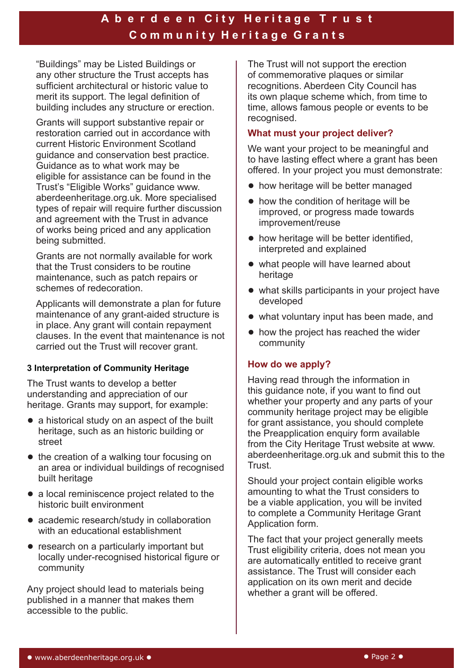## A b e r d e e n City Heritage T r u s t **C o m m u n i t y H e r i t a g e G r a n t s**

"Buildings" may be Listed Buildings or any other structure the Trust accepts has sufficient architectural or historic value to merit its support. The legal definition of building includes any structure or erection.

Grants will support substantive repair or restoration carried out in accordance with current Historic Environment Scotland guidance and conservation best practice. Guidance as to what work may be eligible for assistance can be found in the Trust's "Eligible Works" guidance www. aberdeenheritage.org.uk. More specialised types of repair will require further discussion and agreement with the Trust in advance of works being priced and any application being submitted.

Grants are not normally available for work that the Trust considers to be routine maintenance, such as patch repairs or schemes of redecoration.

Applicants will demonstrate a plan for future maintenance of any grant-aided structure is in place. Any grant will contain repayment clauses. In the event that maintenance is not carried out the Trust will recover grant.

#### **3 Interpretation of Community Heritage**

The Trust wants to develop a better understanding and appreciation of our heritage. Grants may support, for example:

- a historical study on an aspect of the built heritage, such as an historic building or street
- the creation of a walking tour focusing on an area or individual buildings of recognised built heritage
- a local reminiscence project related to the historic built environment
- academic research/study in collaboration with an educational establishment
- research on a particularly important but locally under-recognised historical figure or community

Any project should lead to materials being published in a manner that makes them accessible to the public.

The Trust will not support the erection of commemorative plaques or similar recognitions. Aberdeen City Council has its own plaque scheme which, from time to time, allows famous people or events to be recognised.

#### **What must your project deliver?**

We want your project to be meaningful and to have lasting effect where a grant has been offered. In your project you must demonstrate:

- how heritage will be better managed
- how the condition of heritage will be improved, or progress made towards improvement/reuse
- how heritage will be better identified, interpreted and explained
- what people will have learned about heritage
- what skills participants in your project have developed
- what voluntary input has been made, and
- how the project has reached the wider community

#### **How do we apply?**

Having read through the information in this guidance note, if you want to find out whether your property and any parts of your community heritage project may be eligible for grant assistance, you should complete the Preapplication enquiry form available from the City Heritage Trust website at www. aberdeenheritage.org.uk and submit this to the **Trust.** 

Should your project contain eligible works amounting to what the Trust considers to be a viable application, you will be invited to complete a Community Heritage Grant Application form.

The fact that your project generally meets Trust eligibility criteria, does not mean you are automatically entitled to receive grant assistance. The Trust will consider each application on its own merit and decide whether a grant will be offered.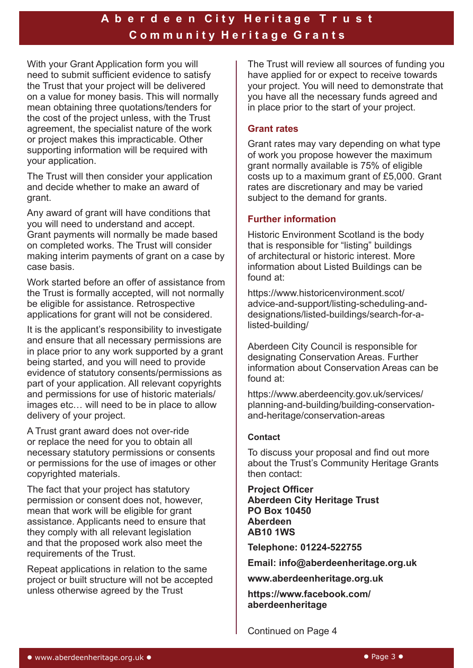## A b e r d e e n City Heritage T r u s t **C o m m u n i t y H e r i t a g e G r a n t s**

With your Grant Application form you will need to submit sufficient evidence to satisfy the Trust that your project will be delivered on a value for money basis. This will normally mean obtaining three quotations/tenders for the cost of the project unless, with the Trust agreement, the specialist nature of the work or project makes this impracticable. Other supporting information will be required with your application.

The Trust will then consider your application and decide whether to make an award of grant.

Any award of grant will have conditions that you will need to understand and accept. Grant payments will normally be made based on completed works. The Trust will consider making interim payments of grant on a case by case basis.

Work started before an offer of assistance from the Trust is formally accepted, will not normally be eligible for assistance. Retrospective applications for grant will not be considered.

It is the applicant's responsibility to investigate and ensure that all necessary permissions are in place prior to any work supported by a grant being started, and you will need to provide evidence of statutory consents/permissions as part of your application. All relevant copyrights and permissions for use of historic materials/ images etc… will need to be in place to allow delivery of your project.

A Trust grant award does not over-ride or replace the need for you to obtain all necessary statutory permissions or consents or permissions for the use of images or other copyrighted materials.

The fact that your project has statutory permission or consent does not, however, mean that work will be eligible for grant assistance. Applicants need to ensure that they comply with all relevant legislation and that the proposed work also meet the requirements of the Trust.

Repeat applications in relation to the same project or built structure will not be accepted unless otherwise agreed by the Trust

The Trust will review all sources of funding you have applied for or expect to receive towards your project. You will need to demonstrate that you have all the necessary funds agreed and in place prior to the start of your project.

#### **Grant rates**

Grant rates may vary depending on what type of work you propose however the maximum grant normally available is 75% of eligible costs up to a maximum grant of £5,000. Grant rates are discretionary and may be varied subject to the demand for grants.

#### **Further information**

Historic Environment Scotland is the body that is responsible for "listing" buildings of architectural or historic interest. More information about Listed Buildings can be found at:

https://www.historicenvironment.scot/ advice-and-support/listing-scheduling-anddesignations/listed-buildings/search-for-alisted-building/

Aberdeen City Council is responsible for designating Conservation Areas. Further information about Conservation Areas can be found at:

https://www.aberdeencity.gov.uk/services/ planning-and-building/building-conservationand-heritage/conservation-areas

#### **Contact**

To discuss your proposal and find out more about the Trust's Community Heritage Grants then contact:

**Project Officer Aberdeen City Heritage Trust PO Box 10450 Aberdeen AB10 1WS**

**Telephone: 01224-522755**

**Email: info@aberdeenheritage.org.uk**

**www.aberdeenheritage.org.uk**

**https://www.facebook.com/ aberdeenheritage**

Continued on Page 4